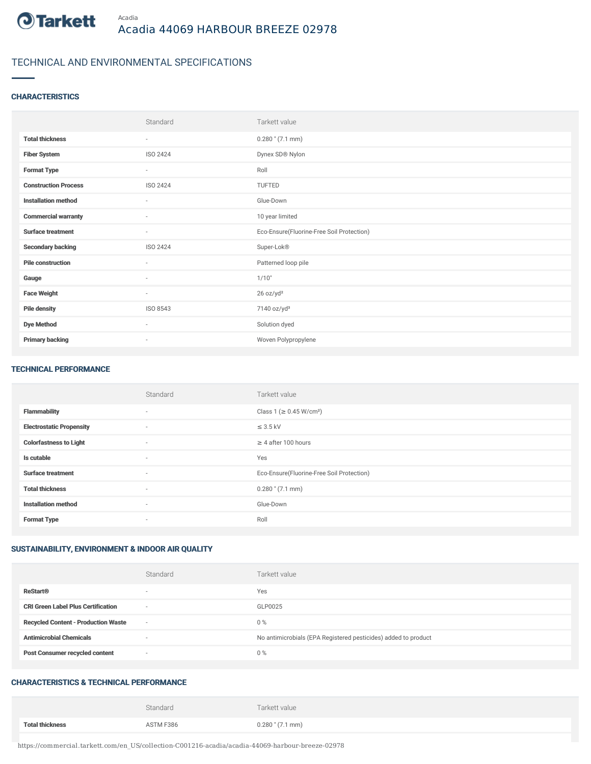

# TECHNICAL AND ENVIRONMENTAL SPECIFICATIONS

## **CHARACTERISTICS**

|                             | Standard                 | Tarkett value                             |
|-----------------------------|--------------------------|-------------------------------------------|
| <b>Total thickness</b>      | ٠                        | $0.280$ " $(7.1$ mm)                      |
| <b>Fiber System</b>         | ISO 2424                 | Dynex SD® Nylon                           |
| <b>Format Type</b>          | $\overline{\phantom{a}}$ | Roll                                      |
| <b>Construction Process</b> | ISO 2424                 | TUFTED                                    |
| <b>Installation method</b>  | ٠                        | Glue-Down                                 |
| <b>Commercial warranty</b>  | ٠                        | 10 year limited                           |
| <b>Surface treatment</b>    | ٠                        | Eco-Ensure(Fluorine-Free Soil Protection) |
| <b>Secondary backing</b>    | ISO 2424                 | Super-Lok®                                |
| <b>Pile construction</b>    | $\sim$                   | Patterned loop pile                       |
| Gauge                       | $\sim$                   | 1/10"                                     |
| <b>Face Weight</b>          | $\sim$                   | 26 oz/yd <sup>2</sup>                     |
| <b>Pile density</b>         | ISO 8543                 | 7140 oz/yd <sup>3</sup>                   |
| <b>Dye Method</b>           | $\sim$                   | Solution dyed                             |
| <b>Primary backing</b>      | $\overline{\phantom{a}}$ | Woven Polypropylene                       |

#### TECHNICAL PERFORMANCE

|                                 | Standard                 | Tarkett value                             |
|---------------------------------|--------------------------|-------------------------------------------|
| <b>Flammability</b>             | $\sim$                   | Class 1 ( $\geq$ 0.45 W/cm <sup>2</sup> ) |
| <b>Electrostatic Propensity</b> | $\sim$                   | $\leq$ 3.5 kV                             |
| <b>Colorfastness to Light</b>   | $\sim$                   | $\geq 4$ after 100 hours                  |
| Is cutable                      | $\sim$                   | Yes                                       |
| <b>Surface treatment</b>        | $\sim$                   | Eco-Ensure(Fluorine-Free Soil Protection) |
| <b>Total thickness</b>          | $\sim$                   | $0.280$ " (7.1 mm)                        |
| <b>Installation method</b>      | $\sim$                   | Glue-Down                                 |
| <b>Format Type</b>              | $\overline{\phantom{a}}$ | Roll                                      |

## SUSTAINABILITY, ENVIRONMENT & INDOOR AIR QUALITY

|                                            | Standard       | Tarkett value                                                  |
|--------------------------------------------|----------------|----------------------------------------------------------------|
| <b>ReStart®</b>                            | $\sim$         | Yes                                                            |
| <b>CRI Green Label Plus Certification</b>  | $\sim$         | GLP0025                                                        |
| <b>Recycled Content - Production Waste</b> | $\overline{a}$ | 0%                                                             |
| <b>Antimicrobial Chemicals</b>             |                | No antimicrobials (EPA Registered pesticides) added to product |
| <b>Post Consumer recycled content</b>      | $\sim$         | 0%                                                             |

## CHARACTERISTICS & TECHNICAL PERFORMANCE

|                        | Standard  | Tarkett value        |
|------------------------|-----------|----------------------|
| <b>Total thickness</b> | ASTM F386 | $0.280$ " $(7.1$ mm) |